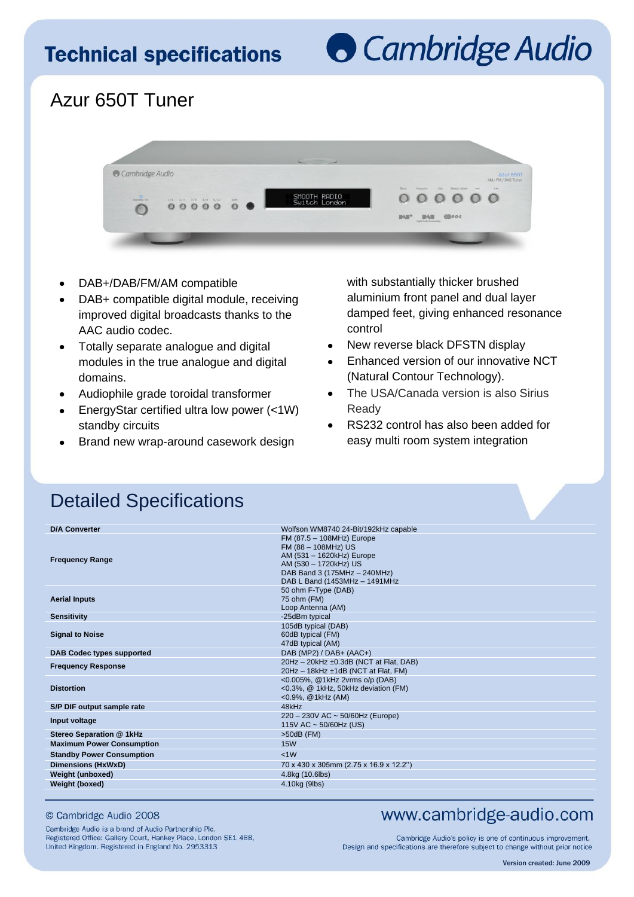# **Technical specifications**

# **Cambridge Audio**

## Azur 650T Tuner



- DAB+/DAB/FM/AM compatible
- DAB+ compatible digital module, receiving improved digital broadcasts thanks to the AAC audio codec.
- Totally separate analogue and digital modules in the true analogue and digital domains.
- Audiophile grade toroidal transformer
- EnergyStar certified ultra low power (<1W) standby circuits
- Brand new wrap-around casework design

with substantially thicker brushed aluminium front panel and dual layer damped feet, giving enhanced resonance control

- New reverse black DFSTN display  $\bullet$
- Enhanced version of our innovative NCT (Natural Contour Technology).
- The USA/Canada version is also Sirius Ready
- RS232 control has also been added for easy multi room system integration

### Detailed Specifications

| <b>D/A Converter</b>             | Wolfson WM8740 24-Bit/192kHz capable                                                                                                                                     |
|----------------------------------|--------------------------------------------------------------------------------------------------------------------------------------------------------------------------|
| <b>Frequency Range</b>           | FM (87.5 - 108MHz) Europe<br>FM (88 - 108MHz) US<br>AM (531 - 1620kHz) Europe<br>AM (530 - 1720kHz) US<br>DAB Band 3 (175MHz - 240MHz)<br>DAB L Band (1453MHz - 1491MHz) |
| <b>Aerial Inputs</b>             | 50 ohm F-Type (DAB)<br>75 ohm (FM)<br>Loop Antenna (AM)                                                                                                                  |
| <b>Sensitivity</b>               | -25dBm typical                                                                                                                                                           |
| <b>Signal to Noise</b>           | 105dB typical (DAB)<br>60dB typical (FM)<br>47dB typical (AM)                                                                                                            |
| <b>DAB Codec types supported</b> | DAB (MP2) / DAB+ (AAC+)                                                                                                                                                  |
| <b>Frequency Response</b>        | 20Hz - 20kHz ±0.3dB (NCT at Flat, DAB)<br>20Hz - 18kHz ±1dB (NCT at Flat, FM)                                                                                            |
| <b>Distortion</b>                | <0.005%, @1kHz 2vrms o/p (DAB)<br><0.3%, @ 1kHz, 50kHz deviation (FM)<br>$<$ 0.9%, @1kHz (AM)                                                                            |
| S/P DIF output sample rate       | 48kHz                                                                                                                                                                    |
| Input voltage                    | 220 - 230V AC ~ 50/60Hz (Europe)<br>115V AC ~ 50/60Hz (US)                                                                                                               |
| Stereo Separation @ 1kHz         | $>50dB$ (FM)                                                                                                                                                             |
| <b>Maximum Power Consumption</b> | <b>15W</b>                                                                                                                                                               |
| <b>Standby Power Consumption</b> | <1W                                                                                                                                                                      |
| <b>Dimensions (HxWxD)</b>        | 70 x 430 x 305mm (2.75 x 16.9 x 12.2")                                                                                                                                   |
| Weight (unboxed)                 | 4.8kg (10.6lbs)                                                                                                                                                          |
| Weight (boxed)                   | 4.10kg (9lbs)                                                                                                                                                            |
|                                  |                                                                                                                                                                          |

#### © Cambridge Audio 2008

Cambridge Audio is a brand of Audio Partnership Plc, Registered Office: Gallery Court, Hankey Place, London SE1 4BB, United Kingdom. Registered in England No. 2953313

#### www.cambridge-audio.com

Cambridge Audio's policy is one of continuous improvement. Design and specifications are therefore subject to change without prior notice